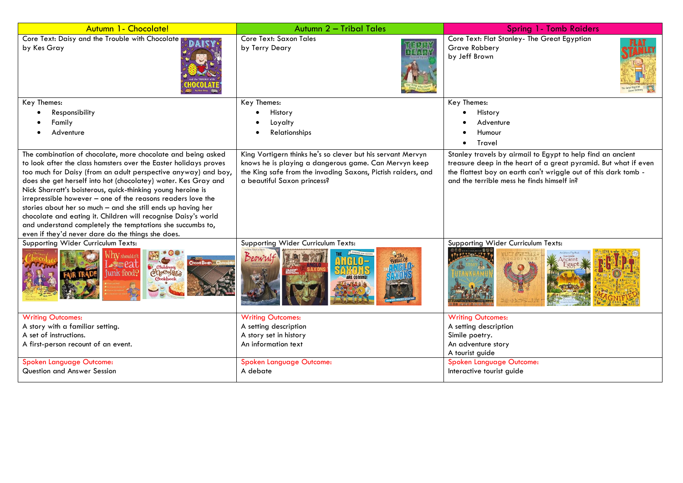| Autumn 1 - Chocolate!                                                                                                                                                                                                                                                                                                                                                                                                                                                                                                                                                                                                                                     | Autumn 2 - Tribal Tales                                                                                                                                                                                             | <b>Spring 1- Tomb Raiders</b>                                                                                                                                                                                                                   |
|-----------------------------------------------------------------------------------------------------------------------------------------------------------------------------------------------------------------------------------------------------------------------------------------------------------------------------------------------------------------------------------------------------------------------------------------------------------------------------------------------------------------------------------------------------------------------------------------------------------------------------------------------------------|---------------------------------------------------------------------------------------------------------------------------------------------------------------------------------------------------------------------|-------------------------------------------------------------------------------------------------------------------------------------------------------------------------------------------------------------------------------------------------|
| Core Text: Daisy and the Trouble with Chocolate<br>by Kes Gray                                                                                                                                                                                                                                                                                                                                                                                                                                                                                                                                                                                            | Core Text: Saxon Tales<br>by Terry Deary                                                                                                                                                                            | Core Text: Flat Stanley- The Great Egyptian<br>Grave Robbery<br>by Jeff Brown                                                                                                                                                                   |
| Key Themes:                                                                                                                                                                                                                                                                                                                                                                                                                                                                                                                                                                                                                                               | Key Themes:                                                                                                                                                                                                         | Key Themes:                                                                                                                                                                                                                                     |
| Responsibility                                                                                                                                                                                                                                                                                                                                                                                                                                                                                                                                                                                                                                            | History                                                                                                                                                                                                             | History                                                                                                                                                                                                                                         |
| Family                                                                                                                                                                                                                                                                                                                                                                                                                                                                                                                                                                                                                                                    | Loyalty                                                                                                                                                                                                             | Adventure                                                                                                                                                                                                                                       |
| Adventure                                                                                                                                                                                                                                                                                                                                                                                                                                                                                                                                                                                                                                                 | Relationships                                                                                                                                                                                                       | Humour<br><b>Travel</b>                                                                                                                                                                                                                         |
| The combination of chocolate, more chocolate and being asked<br>to look after the class hamsters over the Easter holidays proves<br>too much for Daisy (from an adult perspective anyway) and boy,<br>does she get herself into hot (chocolatey) water. Kes Gray and<br>Nick Sharratt's boisterous, quick-thinking young heroine is<br>irrepressible however - one of the reasons readers love the<br>stories about her so much $-$ and she still ends up having her<br>chocolate and eating it. Children will recognise Daisy's world<br>and understand completely the temptations she succumbs to,<br>even if they'd never dare do the things she does. | King Vortigern thinks he's so clever but his servant Mervyn<br>knows he is playing a dangerous game. Can Mervyn keep<br>the King safe from the invading Saxons, Pictish raiders, and<br>a beautiful Saxon princess? | Stanley travels by airmail to Egypt to help find an ancient<br>treasure deep in the heart of a great pyramid. But what if even<br>the flattest boy on earth can't wriggle out of this dark tomb -<br>and the terrible mess he finds himself in? |
| Supporting Wider Curriculum Texts:<br>shouldn't<br>V Children's<br>checolate<br>unk food?                                                                                                                                                                                                                                                                                                                                                                                                                                                                                                                                                                 | Supporting Wider Curriculum Texts:<br>Beowulf                                                                                                                                                                       | Supporting Wider Curriculum Texts:                                                                                                                                                                                                              |
| <b>Writing Outcomes:</b>                                                                                                                                                                                                                                                                                                                                                                                                                                                                                                                                                                                                                                  | <b>Writing Outcomes:</b>                                                                                                                                                                                            | <b>Writing Outcomes:</b>                                                                                                                                                                                                                        |
| A story with a familiar setting.<br>A set of instructions.                                                                                                                                                                                                                                                                                                                                                                                                                                                                                                                                                                                                | A setting description<br>A story set in history                                                                                                                                                                     | A setting description<br>Simile poetry.                                                                                                                                                                                                         |
| A first-person recount of an event.                                                                                                                                                                                                                                                                                                                                                                                                                                                                                                                                                                                                                       | An information text                                                                                                                                                                                                 | An adventure story<br>A tourist guide                                                                                                                                                                                                           |
| <b>Spoken Language Outcome:</b><br>Question and Answer Session                                                                                                                                                                                                                                                                                                                                                                                                                                                                                                                                                                                            | Spoken Language Outcome:<br>A debate                                                                                                                                                                                | Spoken Language Outcome:<br>Interactive tourist guide                                                                                                                                                                                           |